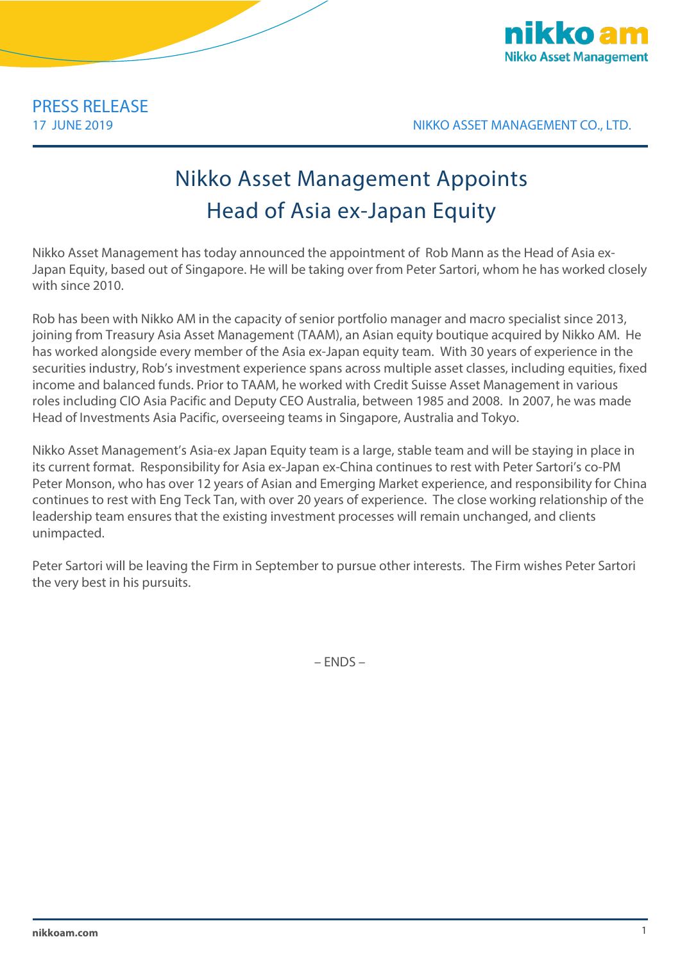

17 JUNE 2019 NIKKO ASSET MANAGEMENT CO., LTD.

## Nikko Asset Management Appoints Head of Asia ex-Japan Equity

Nikko Asset Management has today announced the appointment of Rob Mann as the Head of Asia ex-Japan Equity, based out of Singapore. He will be taking over from Peter Sartori, whom he has worked closely with since 2010.

Rob has been with Nikko AM in the capacity of senior portfolio manager and macro specialist since 2013, joining from Treasury Asia Asset Management (TAAM), an Asian equity boutique acquired by Nikko AM. He has worked alongside every member of the Asia ex-Japan equity team. With 30 years of experience in the securities industry, Rob's investment experience spans across multiple asset classes, including equities, fixed income and balanced funds. Prior to TAAM, he worked with Credit Suisse Asset Management in various roles including CIO Asia Pacific and Deputy CEO Australia, between 1985 and 2008. In 2007, he was made Head of Investments Asia Pacific, overseeing teams in Singapore, Australia and Tokyo.

Nikko Asset Management's Asia-ex Japan Equity team is a large, stable team and will be staying in place in its current format. Responsibility for Asia ex-Japan ex-China continues to rest with Peter Sartori's co-PM Peter Monson, who has over 12 years of Asian and Emerging Market experience, and responsibility for China continues to rest with Eng Teck Tan, with over 20 years of experience. The close working relationship of the leadership team ensures that the existing investment processes will remain unchanged, and clients unimpacted.

Peter Sartori will be leaving the Firm in September to pursue other interests. The Firm wishes Peter Sartori the very best in his pursuits.

– ENDS –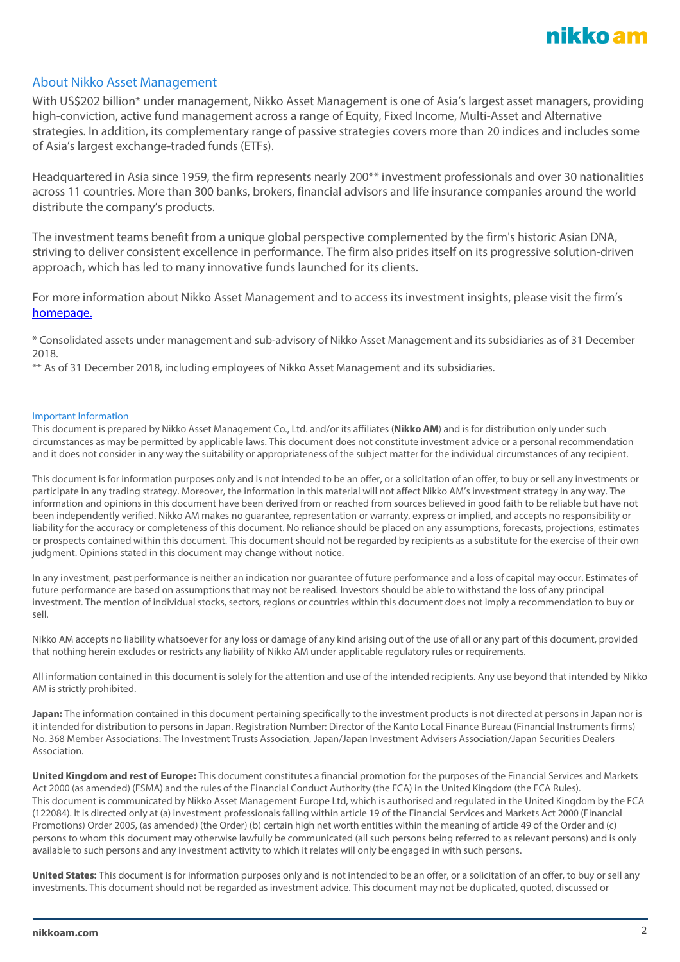

## About Nikko Asset Management

With US\$202 billion\* under management, Nikko Asset Management is one of Asia's largest asset managers, providing high-conviction, active fund management across a range of Equity, Fixed Income, Multi-Asset and Alternative strategies. In addition, its complementary range of passive strategies covers more than 20 indices and includes some of Asia's largest exchange-traded funds (ETFs).

Headquartered in Asia since 1959, the firm represents nearly 200\*\* investment professionals and over 30 nationalities across 11 countries. More than 300 banks, brokers, financial advisors and life insurance companies around the world distribute the company's products.

The investment teams benefit from a unique global perspective complemented by the firm's historic Asian DNA, striving to deliver consistent excellence in performance. The firm also prides itself on its progressive solution-driven approach, which has led to many innovative funds launched for its clients.

For more information about Nikko Asset Management and to access its investment insights, please visit the firm's [homepage.](http://en.nikkoam.com/)

\* Consolidated assets under management and sub-advisory of Nikko Asset Management and its subsidiaries as of 31 December 2018.

\*\* As of 31 December 2018, including employees of Nikko Asset Management and its subsidiaries.

## Important Information

This document is prepared by Nikko Asset Management Co., Ltd. and/or its affiliates (**Nikko AM**) and is for distribution only under such circumstances as may be permitted by applicable laws. This document does not constitute investment advice or a personal recommendation and it does not consider in any way the suitability or appropriateness of the subject matter for the individual circumstances of any recipient.

This document is for information purposes only and is not intended to be an offer, or a solicitation of an offer, to buy or sell any investments or participate in any trading strategy. Moreover, the information in this material will not affect Nikko AM's investment strategy in any way. The information and opinions in this document have been derived from or reached from sources believed in good faith to be reliable but have not been independently verified. Nikko AM makes no guarantee, representation or warranty, express or implied, and accepts no responsibility or liability for the accuracy or completeness of this document. No reliance should be placed on any assumptions, forecasts, projections, estimates or prospects contained within this document. This document should not be regarded by recipients as a substitute for the exercise of their own judgment. Opinions stated in this document may change without notice.

In any investment, past performance is neither an indication nor guarantee of future performance and a loss of capital may occur. Estimates of future performance are based on assumptions that may not be realised. Investors should be able to withstand the loss of any principal investment. The mention of individual stocks, sectors, regions or countries within this document does not imply a recommendation to buy or sell.

Nikko AM accepts no liability whatsoever for any loss or damage of any kind arising out of the use of all or any part of this document, provided that nothing herein excludes or restricts any liability of Nikko AM under applicable regulatory rules or requirements.

All information contained in this document is solely for the attention and use of the intended recipients. Any use beyond that intended by Nikko AM is strictly prohibited.

**Japan:** The information contained in this document pertaining specifically to the investment products is not directed at persons in Japan nor is it intended for distribution to persons in Japan. Registration Number: Director of the Kanto Local Finance Bureau (Financial Instruments firms) No. 368 Member Associations: The Investment Trusts Association, Japan/Japan Investment Advisers Association/Japan Securities Dealers Association.

**United Kingdom and rest of Europe:** This document constitutes a financial promotion for the purposes of the Financial Services and Markets Act 2000 (as amended) (FSMA) and the rules of the Financial Conduct Authority (the FCA) in the United Kingdom (the FCA Rules). This document is communicated by Nikko Asset Management Europe Ltd, which is authorised and regulated in the United Kingdom by the FCA (122084). It is directed only at (a) investment professionals falling within article 19 of the Financial Services and Markets Act 2000 (Financial Promotions) Order 2005, (as amended) (the Order) (b) certain high net worth entities within the meaning of article 49 of the Order and (c) persons to whom this document may otherwise lawfully be communicated (all such persons being referred to as relevant persons) and is only available to such persons and any investment activity to which it relates will only be engaged in with such persons.

**United States:** This document is for information purposes only and is not intended to be an offer, or a solicitation of an offer, to buy or sell any investments. This document should not be regarded as investment advice. This document may not be duplicated, quoted, discussed or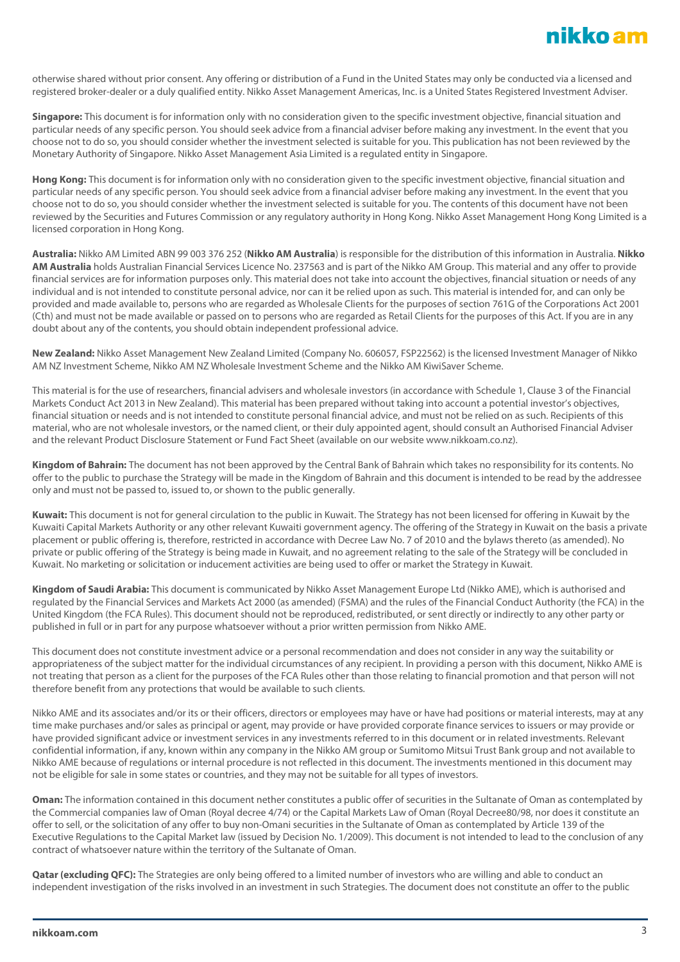otherwise shared without prior consent. Any offering or distribution of a Fund in the United States may only be conducted via a licensed and registered broker-dealer or a duly qualified entity. Nikko Asset Management Americas, Inc. is a United States Registered Investment Adviser.

**Singapore:** This document is for information only with no consideration given to the specific investment objective, financial situation and particular needs of any specific person. You should seek advice from a financial adviser before making any investment. In the event that you choose not to do so, you should consider whether the investment selected is suitable for you. This publication has not been reviewed by the Monetary Authority of Singapore. Nikko Asset Management Asia Limited is a regulated entity in Singapore.

**Hong Kong:** This document is for information only with no consideration given to the specific investment objective, financial situation and particular needs of any specific person. You should seek advice from a financial adviser before making any investment. In the event that you choose not to do so, you should consider whether the investment selected is suitable for you. The contents of this document have not been reviewed by the Securities and Futures Commission or any regulatory authority in Hong Kong. Nikko Asset Management Hong Kong Limited is a licensed corporation in Hong Kong.

**Australia:** Nikko AM Limited ABN 99 003 376 252 (**Nikko AM Australia**) is responsible for the distribution of this information in Australia. **Nikko AM Australia** holds Australian Financial Services Licence No. 237563 and is part of the Nikko AM Group. This material and any offer to provide financial services are for information purposes only. This material does not take into account the objectives, financial situation or needs of any individual and is not intended to constitute personal advice, nor can it be relied upon as such. This material is intended for, and can only be provided and made available to, persons who are regarded as Wholesale Clients for the purposes of section 761G of the Corporations Act 2001 (Cth) and must not be made available or passed on to persons who are regarded as Retail Clients for the purposes of this Act. If you are in any doubt about any of the contents, you should obtain independent professional advice.

**New Zealand:** Nikko Asset Management New Zealand Limited (Company No. 606057, FSP22562) is the licensed Investment Manager of Nikko AM NZ Investment Scheme, Nikko AM NZ Wholesale Investment Scheme and the Nikko AM KiwiSaver Scheme.

This material is for the use of researchers, financial advisers and wholesale investors (in accordance with Schedule 1, Clause 3 of the Financial Markets Conduct Act 2013 in New Zealand). This material has been prepared without taking into account a potential investor's objectives, financial situation or needs and is not intended to constitute personal financial advice, and must not be relied on as such. Recipients of this material, who are not wholesale investors, or the named client, or their duly appointed agent, should consult an Authorised Financial Adviser and the relevant Product Disclosure Statement or Fund Fact Sheet (available on our website www.nikkoam.co.nz).

**Kingdom of Bahrain:** The document has not been approved by the Central Bank of Bahrain which takes no responsibility for its contents. No offer to the public to purchase the Strategy will be made in the Kingdom of Bahrain and this document is intended to be read by the addressee only and must not be passed to, issued to, or shown to the public generally.

**Kuwait:** This document is not for general circulation to the public in Kuwait. The Strategy has not been licensed for offering in Kuwait by the Kuwaiti Capital Markets Authority or any other relevant Kuwaiti government agency. The offering of the Strategy in Kuwait on the basis a private placement or public offering is, therefore, restricted in accordance with Decree Law No. 7 of 2010 and the bylaws thereto (as amended). No private or public offering of the Strategy is being made in Kuwait, and no agreement relating to the sale of the Strategy will be concluded in Kuwait. No marketing or solicitation or inducement activities are being used to offer or market the Strategy in Kuwait.

**Kingdom of Saudi Arabia:** This document is communicated by Nikko Asset Management Europe Ltd (Nikko AME), which is authorised and regulated by the Financial Services and Markets Act 2000 (as amended) (FSMA) and the rules of the Financial Conduct Authority (the FCA) in the United Kingdom (the FCA Rules). This document should not be reproduced, redistributed, or sent directly or indirectly to any other party or published in full or in part for any purpose whatsoever without a prior written permission from Nikko AME.

This document does not constitute investment advice or a personal recommendation and does not consider in any way the suitability or appropriateness of the subject matter for the individual circumstances of any recipient. In providing a person with this document, Nikko AME is not treating that person as a client for the purposes of the FCA Rules other than those relating to financial promotion and that person will not therefore benefit from any protections that would be available to such clients.

Nikko AME and its associates and/or its or their officers, directors or employees may have or have had positions or material interests, may at any time make purchases and/or sales as principal or agent, may provide or have provided corporate finance services to issuers or may provide or have provided significant advice or investment services in any investments referred to in this document or in related investments. Relevant confidential information, if any, known within any company in the Nikko AM group or Sumitomo Mitsui Trust Bank group and not available to Nikko AME because of regulations or internal procedure is not reflected in this document. The investments mentioned in this document may not be eligible for sale in some states or countries, and they may not be suitable for all types of investors.

**Oman:** The information contained in this document nether constitutes a public offer of securities in the Sultanate of Oman as contemplated by the Commercial companies law of Oman (Royal decree 4/74) or the Capital Markets Law of Oman (Royal Decree80/98, nor does it constitute an offer to sell, or the solicitation of any offer to buy non-Omani securities in the Sultanate of Oman as contemplated by Article 139 of the Executive Regulations to the Capital Market law (issued by Decision No. 1/2009). This document is not intended to lead to the conclusion of any contract of whatsoever nature within the territory of the Sultanate of Oman.

**Qatar (excluding QFC):** The Strategies are only being offered to a limited number of investors who are willing and able to conduct an independent investigation of the risks involved in an investment in such Strategies. The document does not constitute an offer to the public